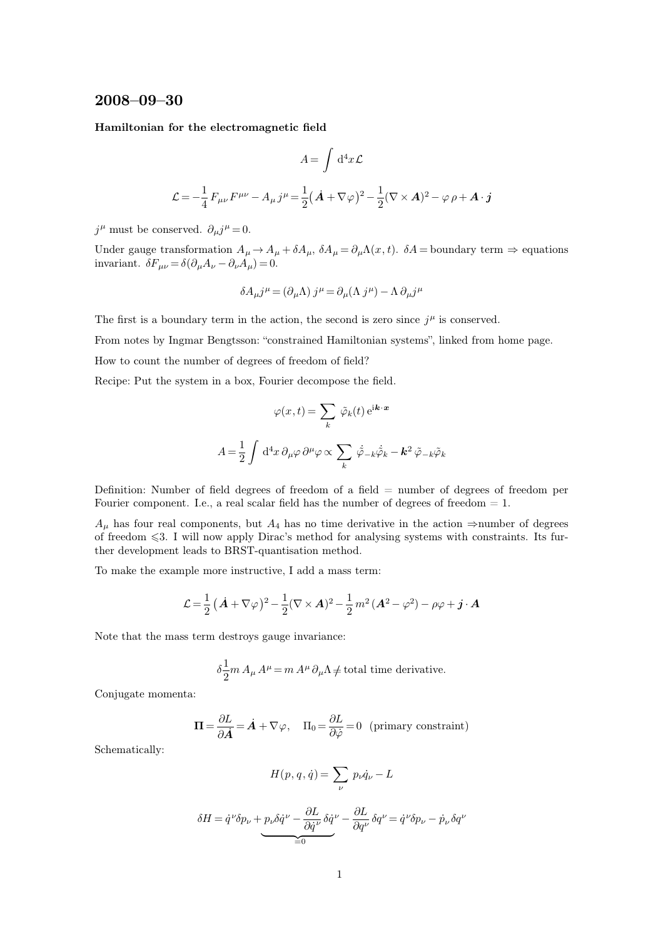## **2008–09–30**

**Hamiltonian for the electromagnetic field**

$$
A = \int d^4x \mathcal{L}
$$

$$
\mathcal{L} = -\frac{1}{4} F_{\mu\nu} F^{\mu\nu} - A_{\mu} j^{\mu} = \frac{1}{2} (\dot{A} + \nabla \varphi)^2 - \frac{1}{2} (\nabla \times A)^2 - \varphi \rho + A \cdot j
$$

 $j^{\mu}$  must be conserved.  $\partial_{\mu}j^{\mu}=0$ .

Under gauge transformation  $A_{\mu} \to A_{\mu} + \delta A_{\mu}$ ,  $\delta A_{\mu} = \partial_{\mu} \Lambda(x, t)$ .  $\delta A =$ boundary term  $\Rightarrow$  equations invariant.  $\delta F_{\mu\nu} = \delta (\partial_{\mu}A_{\nu} - \partial_{\nu}A_{\mu}) = 0.$ 

$$
\delta A_{\mu} j^{\mu} = (\partial_{\mu} \Lambda) j^{\mu} = \partial_{\mu} (\Lambda j^{\mu}) - \Lambda \partial_{\mu} j^{\mu}
$$

The first is a boundary term in the action, the second is zero since  $j^{\mu}$  is conserved.

From notes by Ingmar Bengtsson: "constrained Hamiltonian systems", linked from home page.

How to count the number of degrees of freedom of field?

Recipe: Put the system in a box, Fourier decompose the field.

$$
\varphi(x,t) = \sum_{k} \tilde{\varphi}_{k}(t) e^{i\mathbf{k} \cdot \mathbf{x}}
$$

$$
A = \frac{1}{2} \int d^{4}x \, \partial_{\mu}\varphi \, \partial^{\mu}\varphi \propto \sum_{k} \dot{\tilde{\varphi}}_{-k} \dot{\tilde{\varphi}}_{k} - \mathbf{k}^{2} \, \tilde{\varphi}_{-k} \tilde{\varphi}_{k}
$$

Definition: Number of field degrees of freedom of a field  $=$  number of degrees of freedom per Fourier component. I.e., a real scalar field has the number of degrees of freedom  $= 1$ .

 $A_{\mu}$  has four real components, but  $A_4$  has no time derivative in the action ⇒number of degrees of freedom  $\leq 3$ . I will now apply Dirac's method for analysing systems with constraints. Its further development leads to BRST-quantisation method.

To make the example more instructive, I add a mass term:

$$
\mathcal{L} = \frac{1}{2} (\dot{\boldsymbol{A}} + \nabla \varphi)^2 - \frac{1}{2} (\nabla \times \boldsymbol{A})^2 - \frac{1}{2} m^2 (\boldsymbol{A}^2 - \varphi^2) - \rho \varphi + \boldsymbol{j} \cdot \boldsymbol{A}
$$

Note that the mass term destroys gauge invariance:

$$
\delta \frac{1}{2} m A_{\mu} A^{\mu} = m A^{\mu} \partial_{\mu} \Lambda \neq \text{total time derivative}.
$$

Conjugate momenta:

$$
\mathbf{\Pi} = \frac{\partial L}{\partial \dot{A}} = \dot{A} + \nabla \varphi, \quad \Pi_0 = \frac{\partial L}{\partial \dot{\varphi}} = 0 \text{ (primary constraint)}
$$

Schematically:

$$
H(p, q, \dot{q}) = \sum_{\nu} p_{\nu} \dot{q}_{\nu} - L
$$

$$
\delta H = \dot{q}^{\nu} \delta p_{\nu} + p_{\nu} \delta \dot{q}^{\nu} - \frac{\partial L}{\partial \dot{q}^{\nu}} \delta \dot{q}^{\nu} - \frac{\partial L}{\partial q^{\nu}} \delta q^{\nu} = \dot{q}^{\nu} \delta p_{\nu} - \dot{p}_{\nu} \delta q^{\nu}
$$

$$
= 0
$$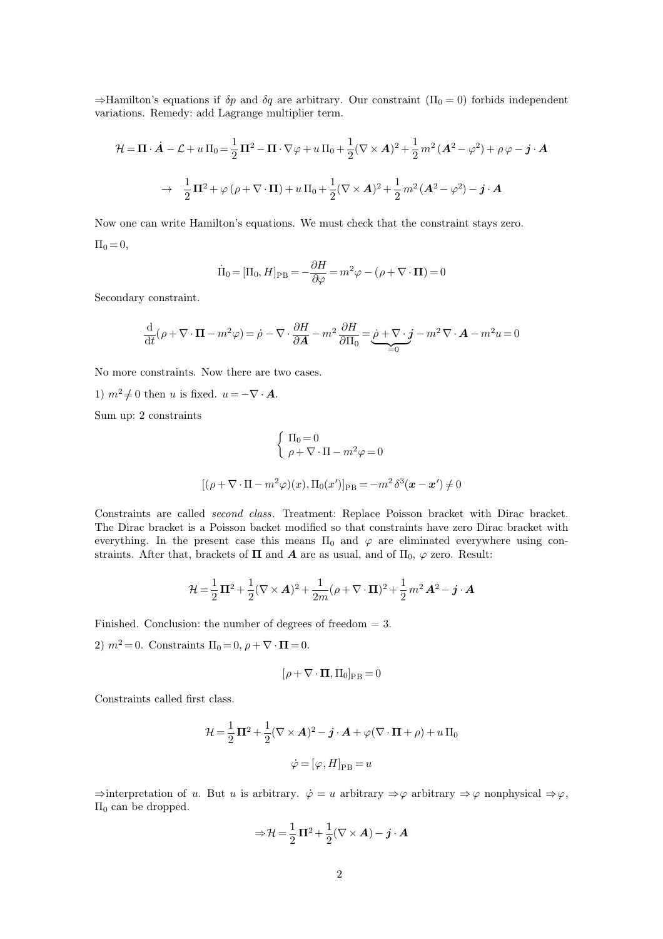$\Rightarrow$ Hamilton's equations if  $\delta p$  and  $\delta q$  are arbitrary. Our constraint  $(\Pi_0 = 0)$  forbids independent variations. Remedy: add Lagrange multiplier term.

$$
\mathcal{H} = \mathbf{\Pi} \cdot \dot{\mathbf{A}} - \mathcal{L} + u \,\Pi_0 = \frac{1}{2} \mathbf{\Pi}^2 - \mathbf{\Pi} \cdot \nabla \varphi + u \,\Pi_0 + \frac{1}{2} (\nabla \times \mathbf{A})^2 + \frac{1}{2} m^2 \left( \mathbf{A}^2 - \varphi^2 \right) + \rho \varphi - \dot{\mathbf{j}} \cdot \mathbf{A}
$$

$$
\rightarrow \frac{1}{2} \mathbf{\Pi}^2 + \varphi \left( \rho + \nabla \cdot \mathbf{\Pi} \right) + u \,\Pi_0 + \frac{1}{2} (\nabla \times \mathbf{A})^2 + \frac{1}{2} m^2 \left( \mathbf{A}^2 - \varphi^2 \right) - \dot{\mathbf{j}} \cdot \mathbf{A}
$$

Now one can write Hamilton's equations. We must check that the constraint stays zero.  $\Pi_0 = 0,$ 

$$
\dot{\Pi}_0 = [\Pi_0, H]_{\rm PB} = -\frac{\partial H}{\partial \varphi} = m^2 \varphi - (\rho + \nabla \cdot \mathbf{\Pi}) = 0
$$

Secondary constraint.

$$
\frac{\mathrm{d}}{\mathrm{d}t}(\rho + \nabla \cdot \mathbf{\Pi} - m^2 \varphi) = \dot{\rho} - \nabla \cdot \frac{\partial H}{\partial \mathbf{A}} - m^2 \frac{\partial H}{\partial \Pi_0} = \underbrace{\dot{\rho} + \nabla \cdot \mathbf{j}}_{=0} - m^2 \nabla \cdot \mathbf{A} - m^2 u = 0
$$

No more constraints. Now there are two cases.

1)  $m^2 \neq 0$  then u is fixed.  $u = -\nabla \cdot \mathbf{A}$ .

Sum up: 2 constraints

$$
\begin{cases} \Pi_0 = 0 \\ \rho + \nabla \cdot \Pi - m^2 \varphi = 0 \end{cases}
$$

$$
[(\rho + \nabla \cdot \Pi - m^2 \varphi)(x), \Pi_0(x')]_{\text{PB}} = -m^2 \delta^3(\boldsymbol{x} - \boldsymbol{x}') \neq 0
$$

Constraints are called *second class*. Treatment: Replace Poisson bracket with Dirac bracket. The Dirac bracket is a Poisson backet modified so that constraints have zero Dirac bracket with everything. In the present case this means  $\Pi_0$  and  $\varphi$  are eliminated everywhere using constraints. After that, brackets of  $\Pi$  and  $A$  are as usual, and of  $\Pi_0$ ,  $\varphi$  zero. Result:

$$
\mathcal{H} = \frac{1}{2}\,\mathbf{\Pi}^2 + \frac{1}{2}(\nabla \times \mathbf{A})^2 + \frac{1}{2m}(\rho + \nabla \cdot \mathbf{\Pi})^2 + \frac{1}{2}\,m^2\,\mathbf{A}^2 - \mathbf{j} \cdot \mathbf{A}
$$

Finished. Conclusion: the number of degrees of freedom = 3.

2)  $m^2 = 0$ . Constraints  $\Pi_0 = 0$ ,  $\rho + \nabla \cdot \mathbf{\Pi} = 0$ .

$$
[\rho+\nabla\cdot\boldsymbol{\Pi},\Pi_0]_{\rm PB} = 0
$$

Constraints called first class.

$$
\mathcal{H} = \frac{1}{2}\mathbf{\Pi}^2 + \frac{1}{2}(\nabla \times \mathbf{A})^2 - \mathbf{j} \cdot \mathbf{A} + \varphi(\nabla \cdot \mathbf{\Pi} + \rho) + u \, \Pi_0
$$

$$
\dot{\varphi} = [\varphi, H]_{\text{PB}} = u
$$

 $\Rightarrow$ interpretation of u. But u is arbitrary.  $\dot{\varphi} = u$  arbitrary  $\Rightarrow \varphi$  arbitrary  $\Rightarrow \varphi$  nonphysical  $\Rightarrow \varphi$ ,  $\Pi$ <sub>0</sub> can be dropped.

$$
\Rightarrow \mathcal{H} = \frac{1}{2}\,\Pi^2 + \frac{1}{2}(\nabla \times \mathbf{A}) - \mathbf{j} \cdot \mathbf{A}
$$